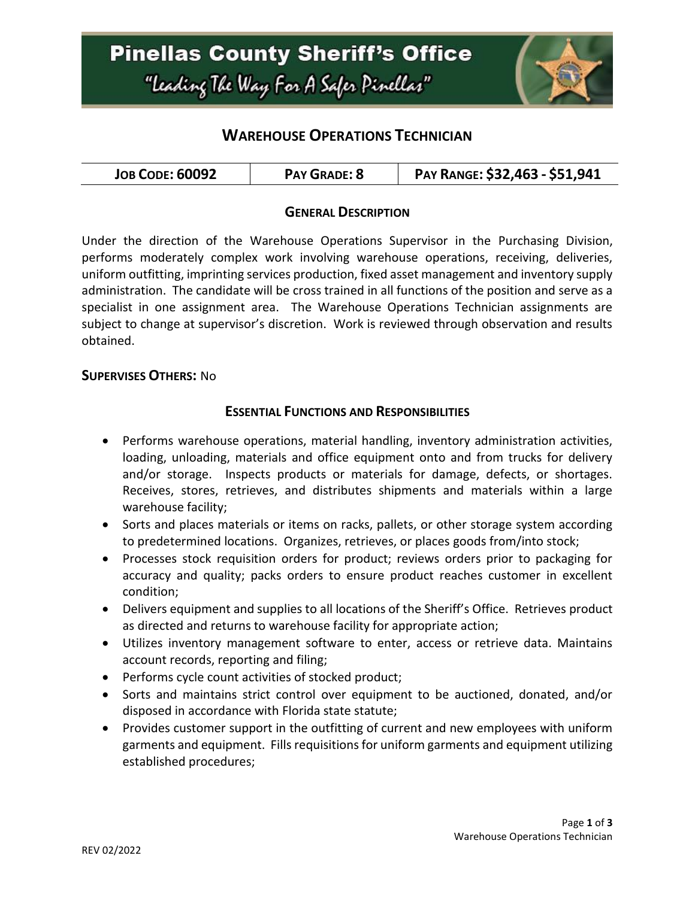

# **WAREHOUSE OPERATIONS TECHNICIAN**

| <b>JOB CODE: 60092</b><br>PAY GRADE: 8 | PAY RANGE: \$32,463 - \$51,941 |
|----------------------------------------|--------------------------------|
|----------------------------------------|--------------------------------|

### **GENERAL DESCRIPTION**

Under the direction of the Warehouse Operations Supervisor in the Purchasing Division, performs moderately complex work involving warehouse operations, receiving, deliveries, uniform outfitting, imprinting services production, fixed asset management and inventory supply administration. The candidate will be cross trained in all functions of the position and serve as a specialist in one assignment area. The Warehouse Operations Technician assignments are subject to change at supervisor's discretion. Work is reviewed through observation and results obtained.

#### **SUPERVISES OTHERS:** No

#### **ESSENTIAL FUNCTIONS AND RESPONSIBILITIES**

- Performs warehouse operations, material handling, inventory administration activities, loading, unloading, materials and office equipment onto and from trucks for delivery and/or storage. Inspects products or materials for damage, defects, or shortages. Receives, stores, retrieves, and distributes shipments and materials within a large warehouse facility;
- Sorts and places materials or items on racks, pallets, or other storage system according to predetermined locations. Organizes, retrieves, or places goods from/into stock;
- Processes stock requisition orders for product; reviews orders prior to packaging for accuracy and quality; packs orders to ensure product reaches customer in excellent condition;
- Delivers equipment and supplies to all locations of the Sheriff's Office. Retrieves product as directed and returns to warehouse facility for appropriate action;
- Utilizes inventory management software to enter, access or retrieve data. Maintains account records, reporting and filing;
- Performs cycle count activities of stocked product;
- Sorts and maintains strict control over equipment to be auctioned, donated, and/or disposed in accordance with Florida state statute;
- Provides customer support in the outfitting of current and new employees with uniform garments and equipment. Fills requisitions for uniform garments and equipment utilizing established procedures;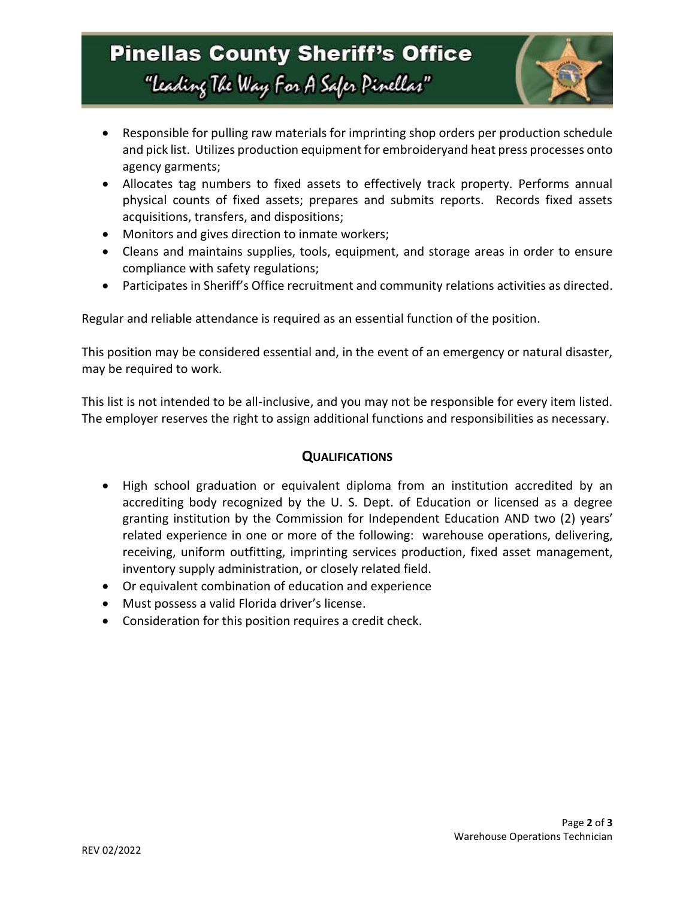# **Pinellas County Sheriff's Office** "Leading The Way For A Safer Pinellar"



- Responsible for pulling raw materials for imprinting shop orders per production schedule and pick list. Utilizes production equipment for embroideryand heat press processes onto agency garments;
- Allocates tag numbers to fixed assets to effectively track property. Performs annual physical counts of fixed assets; prepares and submits reports. Records fixed assets acquisitions, transfers, and dispositions;
- Monitors and gives direction to inmate workers;
- Cleans and maintains supplies, tools, equipment, and storage areas in order to ensure compliance with safety regulations;
- Participates in Sheriff's Office recruitment and community relations activities as directed.

Regular and reliable attendance is required as an essential function of the position.

This position may be considered essential and, in the event of an emergency or natural disaster, may be required to work.

This list is not intended to be all-inclusive, and you may not be responsible for every item listed. The employer reserves the right to assign additional functions and responsibilities as necessary.

### **QUALIFICATIONS**

- High school graduation or equivalent diploma from an institution accredited by an accrediting body recognized by the U. S. Dept. of Education or licensed as a degree granting institution by the Commission for Independent Education AND two (2) years' related experience in one or more of the following: warehouse operations, delivering, receiving, uniform outfitting, imprinting services production, fixed asset management, inventory supply administration, or closely related field.
- Or equivalent combination of education and experience
- Must possess a valid Florida driver's license.
- Consideration for this position requires a credit check.